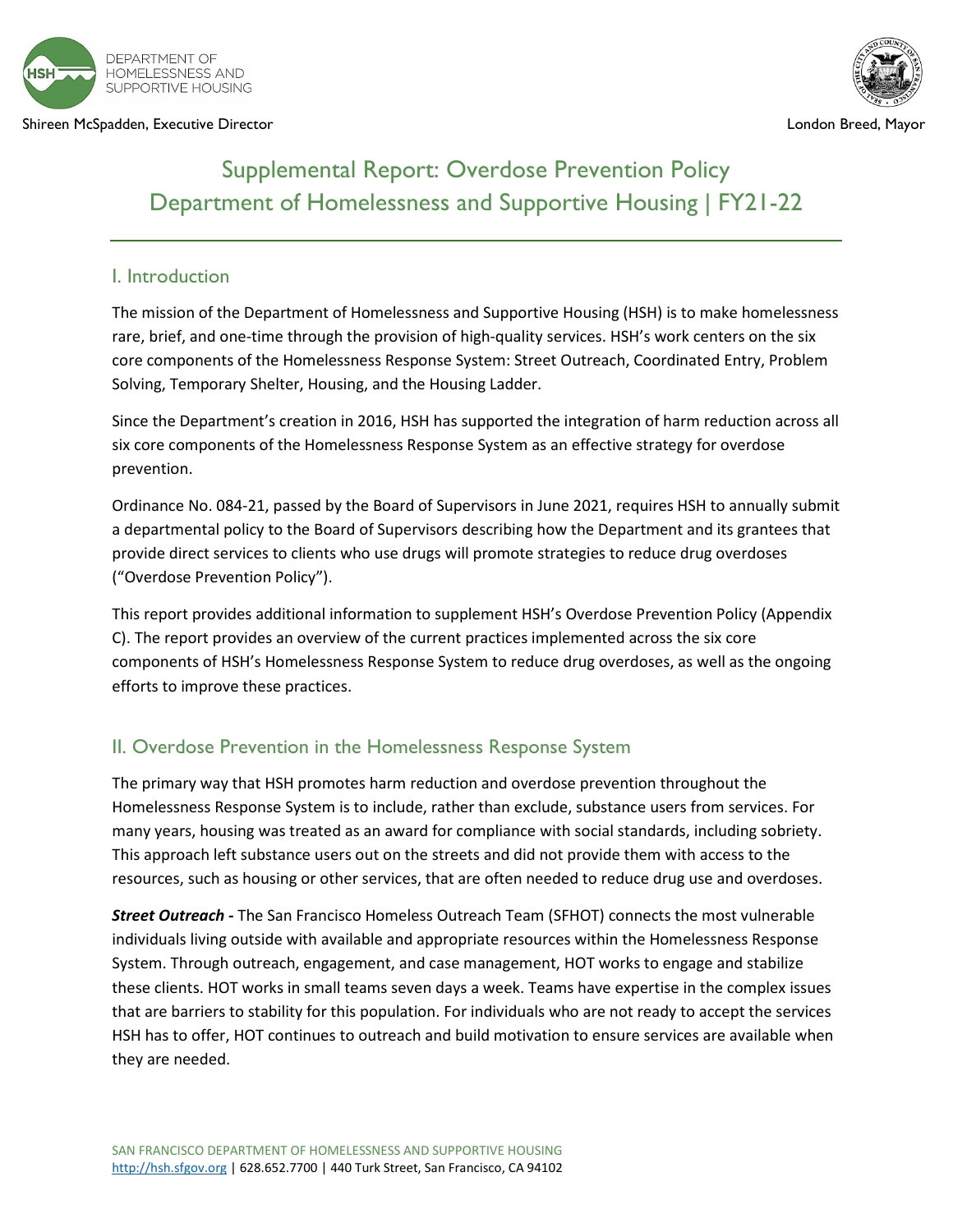

Shireen McSpadden, Executive Director London Breed, Mayor



## Supplemental Report: Overdose Prevention Policy Department of Homelessness and Supportive Housing | FY21-22

## I. Introduction

The mission of the Department of Homelessness and Supportive Housing (HSH) is to make homelessness rare, brief, and one-time through the provision of high-quality services. HSH's work centers on the six core components of the Homelessness Response System: Street Outreach, Coordinated Entry, Problem Solving, Temporary Shelter, Housing, and the Housing Ladder.

Since the Department's creation in 2016, HSH has supported the integration of harm reduction across all six core components of the Homelessness Response System as an effective strategy for overdose prevention.

Ordinance No. 084-21, passed by the Board of Supervisors in June 2021, requires HSH to annually submit a departmental policy to the Board of Supervisors describing how the Department and its grantees that provide direct services to clients who use drugs will promote strategies to reduce drug overdoses ("Overdose Prevention Policy").

This report provides additional information to supplement HSH's Overdose Prevention Policy (Appendix C). The report provides an overview of the current practices implemented across the six core components of HSH's Homelessness Response System to reduce drug overdoses, as well as the ongoing efforts to improve these practices.

## II. Overdose Prevention in the Homelessness Response System

The primary way that HSH promotes harm reduction and overdose prevention throughout the Homelessness Response System is to include, rather than exclude, substance users from services. For many years, housing was treated as an award for compliance with social standards, including sobriety. This approach left substance users out on the streets and did not provide them with access to the resources, such as housing or other services, that are often needed to reduce drug use and overdoses.

*Street Outreach -* The San Francisco Homeless Outreach Team (SFHOT) connects the most vulnerable individuals living outside with available and appropriate resources within the Homelessness Response System. Through outreach, engagement, and case management, HOT works to engage and stabilize these clients. HOT works in small teams seven days a week. Teams have expertise in the complex issues that are barriers to stability for this population. For individuals who are not ready to accept the services HSH has to offer, HOT continues to outreach and build motivation to ensure services are available when they are needed.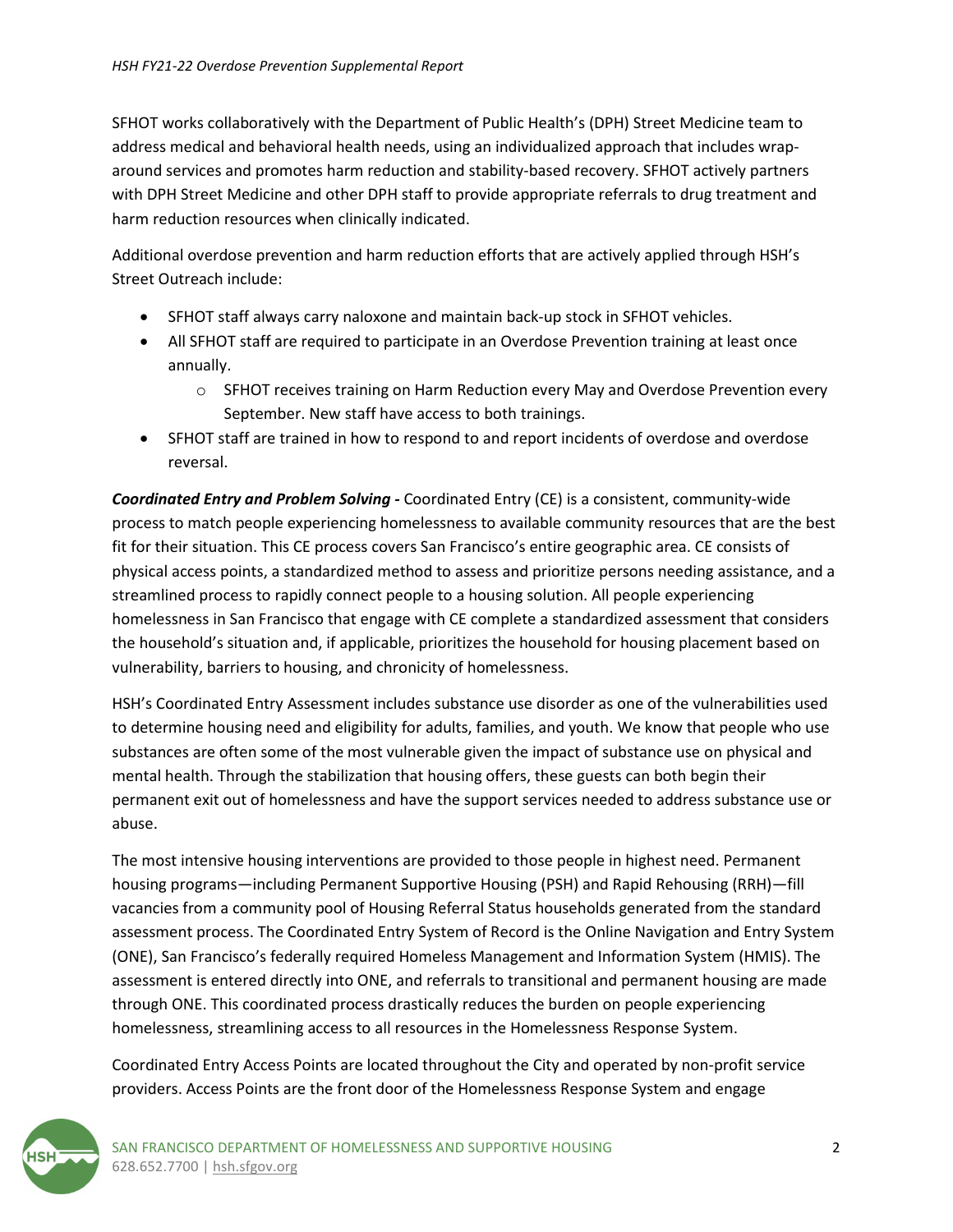SFHOT works collaboratively with the Department of Public Health's (DPH) Street Medicine team to address medical and behavioral health needs, using an individualized approach that includes wraparound services and promotes harm reduction and stability-based recovery. SFHOT actively partners with DPH Street Medicine and other DPH staff to provide appropriate referrals to drug treatment and harm reduction resources when clinically indicated.

Additional overdose prevention and harm reduction efforts that are actively applied through HSH's Street Outreach include:

- SFHOT staff always carry naloxone and maintain back-up stock in SFHOT vehicles.
- All SFHOT staff are required to participate in an Overdose Prevention training at least once annually.
	- o SFHOT receives training on Harm Reduction every May and Overdose Prevention every September. New staff have access to both trainings.
- SFHOT staff are trained in how to respond to and report incidents of overdose and overdose reversal.

*Coordinated Entry and Problem Solving -* Coordinated Entry (CE) is a consistent, community-wide process to match people experiencing homelessness to available community resources that are the best fit for their situation. This CE process covers San Francisco's entire geographic area. CE consists of physical access points, a standardized method to assess and prioritize persons needing assistance, and a streamlined process to rapidly connect people to a housing solution. All people experiencing homelessness in San Francisco that engage with CE complete a standardized assessment that considers the household's situation and, if applicable, prioritizes the household for housing placement based on vulnerability, barriers to housing, and chronicity of homelessness.

HSH's Coordinated Entry Assessment includes substance use disorder as one of the vulnerabilities used to determine housing need and eligibility for adults, families, and youth. We know that people who use substances are often some of the most vulnerable given the impact of substance use on physical and mental health. Through the stabilization that housing offers, these guests can both begin their permanent exit out of homelessness and have the support services needed to address substance use or abuse.

The most intensive housing interventions are provided to those people in highest need. Permanent housing programs—including Permanent Supportive Housing (PSH) and Rapid Rehousing (RRH)—fill vacancies from a community pool of Housing Referral Status households generated from the standard assessment process. The Coordinated Entry System of Record is the Online Navigation and Entry System (ONE), San Francisco's federally required Homeless Management and Information System (HMIS). The assessment is entered directly into ONE, and referrals to transitional and permanent housing are made through ONE. This coordinated process drastically reduces the burden on people experiencing homelessness, streamlining access to all resources in the Homelessness Response System.

Coordinated Entry Access Points are located throughout the City and operated by non-profit service providers. Access Points are the front door of the Homelessness Response System and engage

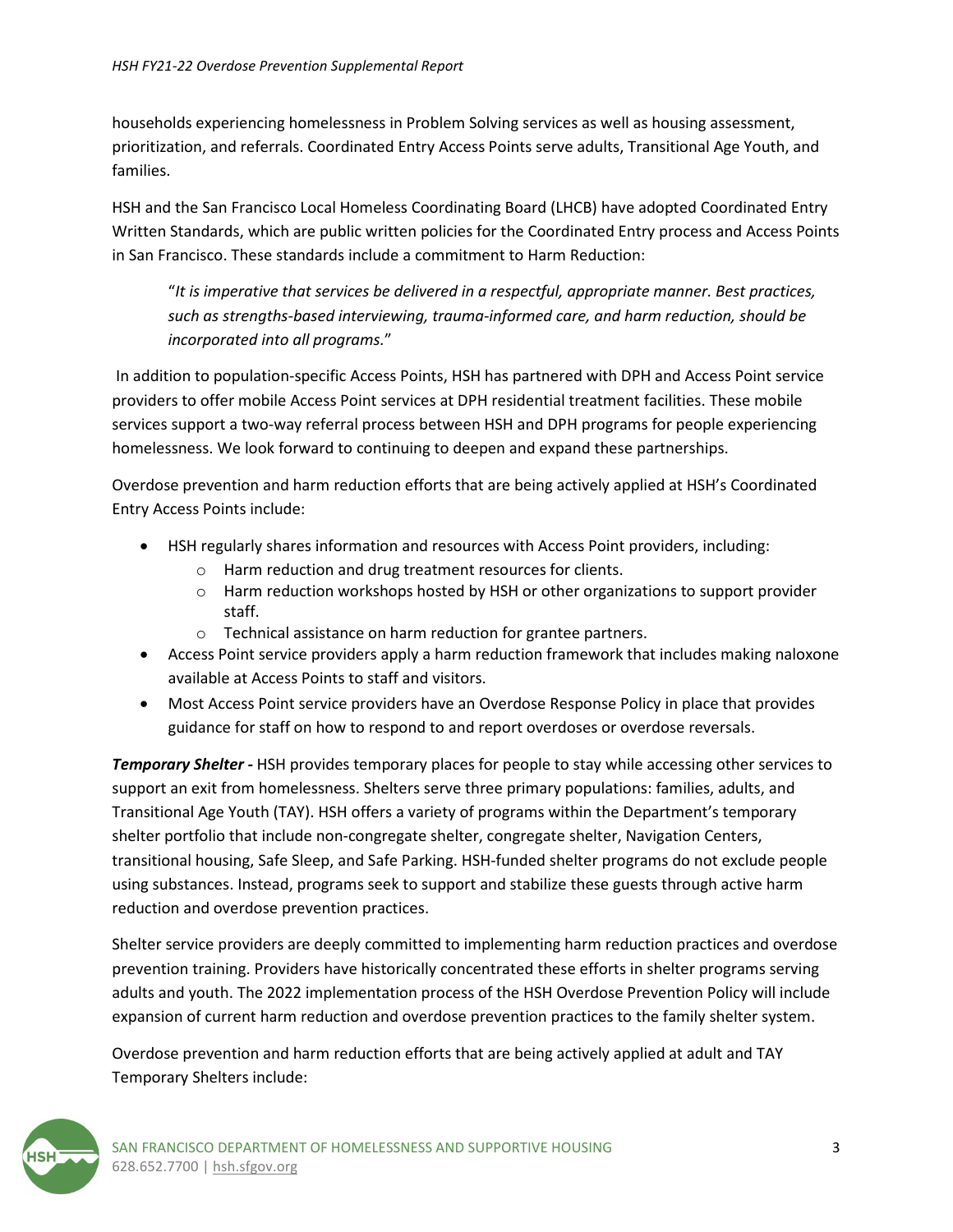households experiencing homelessness in Problem Solving services as well as housing assessment, prioritization, and referrals. Coordinated Entry Access Points serve adults, Transitional Age Youth, and families.

HSH and the San Francisco Local Homeless Coordinating Board (LHCB) have adopted Coordinated Entry Written Standards, which are public written policies for the Coordinated Entry process and Access Points in San Francisco. These standards include a commitment to Harm Reduction:

"*It is imperative that services be delivered in a respectful, appropriate manner. Best practices, such as strengths-based interviewing, trauma-informed care, and harm reduction, should be incorporated into all programs.*"

In addition to population-specific Access Points, HSH has partnered with DPH and Access Point service providers to offer mobile Access Point services at DPH residential treatment facilities. These mobile services support a two-way referral process between HSH and DPH programs for people experiencing homelessness. We look forward to continuing to deepen and expand these partnerships.

Overdose prevention and harm reduction efforts that are being actively applied at HSH's Coordinated Entry Access Points include:

- HSH regularly shares information and resources with Access Point providers, including:
	- o Harm reduction and drug treatment resources for clients.
	- o Harm reduction workshops hosted by HSH or other organizations to support provider staff.
	- o Technical assistance on harm reduction for grantee partners.
- Access Point service providers apply a harm reduction framework that includes making naloxone available at Access Points to staff and visitors.
- Most Access Point service providers have an Overdose Response Policy in place that provides guidance for staff on how to respond to and report overdoses or overdose reversals.

*Temporary Shelter* - HSH provides temporary places for people to stay while accessing other services to support an exit from homelessness. Shelters serve three primary populations: families, adults, and Transitional Age Youth (TAY). HSH offers a variety of programs within the Department's temporary shelter portfolio that include non-congregate shelter, congregate shelter, Navigation Centers, transitional housing, Safe Sleep, and Safe Parking. HSH-funded shelter programs do not exclude people using substances. Instead, programs seek to support and stabilize these guests through active harm reduction and overdose prevention practices.

Shelter service providers are deeply committed to implementing harm reduction practices and overdose prevention training. Providers have historically concentrated these efforts in shelter programs serving adults and youth. The 2022 implementation process of the HSH Overdose Prevention Policy will include expansion of current harm reduction and overdose prevention practices to the family shelter system.

Overdose prevention and harm reduction efforts that are being actively applied at adult and TAY Temporary Shelters include:

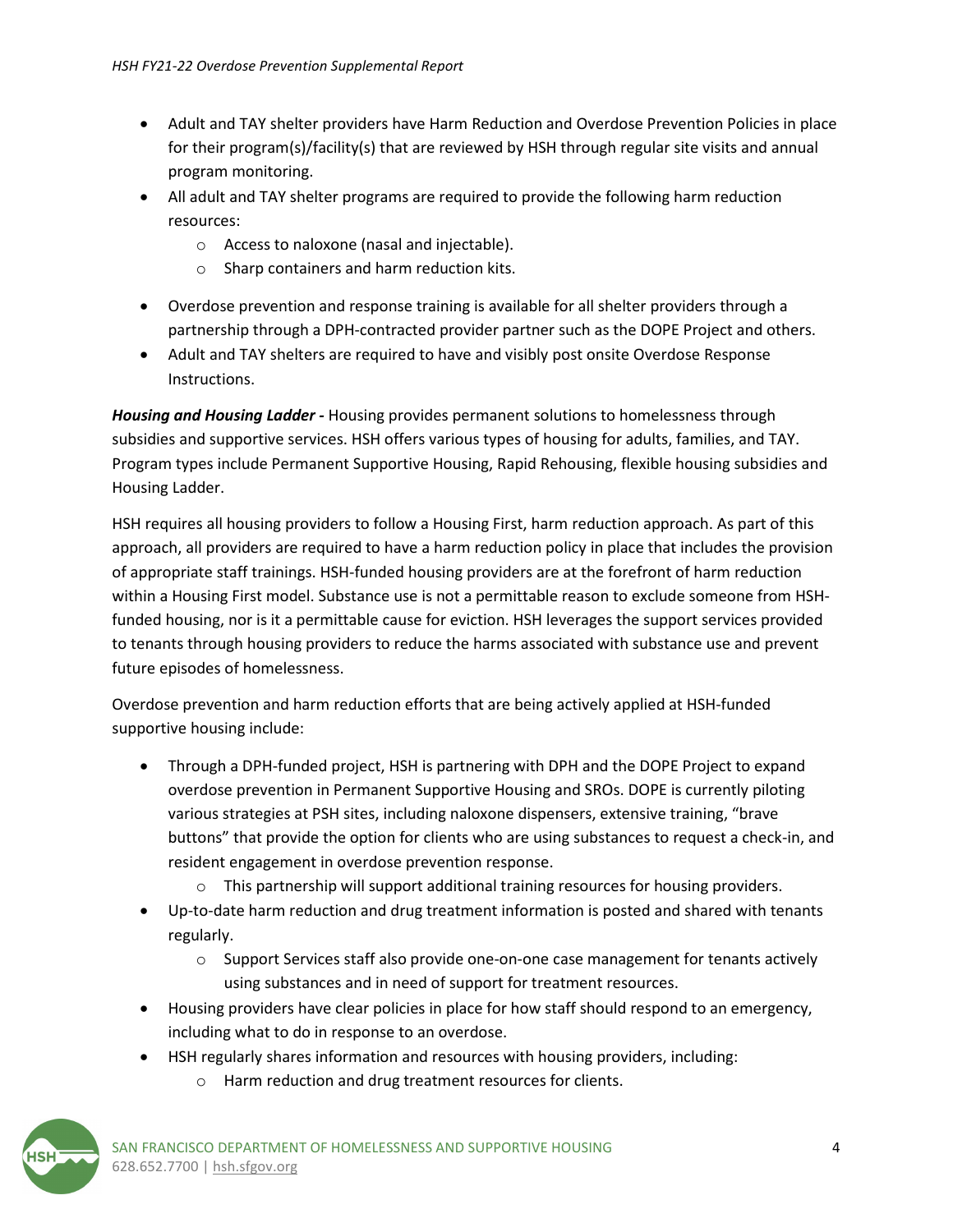- Adult and TAY shelter providers have Harm Reduction and Overdose Prevention Policies in place for their program(s)/facility(s) that are reviewed by HSH through regular site visits and annual program monitoring.
- All adult and TAY shelter programs are required to provide the following harm reduction resources:
	- o Access to naloxone (nasal and injectable).
	- o Sharp containers and harm reduction kits.
- Overdose prevention and response training is available for all shelter providers through a partnership through a DPH-contracted provider partner such as the DOPE Project and others.
- Adult and TAY shelters are required to have and visibly post onsite Overdose Response Instructions.

*Housing and Housing Ladder -* Housing provides permanent solutions to homelessness through subsidies and supportive services. HSH offers various types of housing for adults, families, and TAY. Program types include Permanent Supportive Housing, Rapid Rehousing, flexible housing subsidies and Housing Ladder.

HSH requires all housing providers to follow a Housing First, harm reduction approach. As part of this approach, all providers are required to have a harm reduction policy in place that includes the provision of appropriate staff trainings. HSH-funded housing providers are at the forefront of harm reduction within a Housing First model. Substance use is not a permittable reason to exclude someone from HSHfunded housing, nor is it a permittable cause for eviction. HSH leverages the support services provided to tenants through housing providers to reduce the harms associated with substance use and prevent future episodes of homelessness.

Overdose prevention and harm reduction efforts that are being actively applied at HSH-funded supportive housing include:

- Through a DPH-funded project, HSH is partnering with DPH and the DOPE Project to expand overdose prevention in Permanent Supportive Housing and SROs. DOPE is currently piloting various strategies at PSH sites, including naloxone dispensers, extensive training, "brave buttons" that provide the option for clients who are using substances to request a check-in, and resident engagement in overdose prevention response.
	- $\circ$  This partnership will support additional training resources for housing providers.
- Up-to-date harm reduction and drug treatment information is posted and shared with tenants regularly.
	- $\circ$  Support Services staff also provide one-on-one case management for tenants actively using substances and in need of support for treatment resources.
- Housing providers have clear policies in place for how staff should respond to an emergency, including what to do in response to an overdose.
- HSH regularly shares information and resources with housing providers, including:
	- o Harm reduction and drug treatment resources for clients.